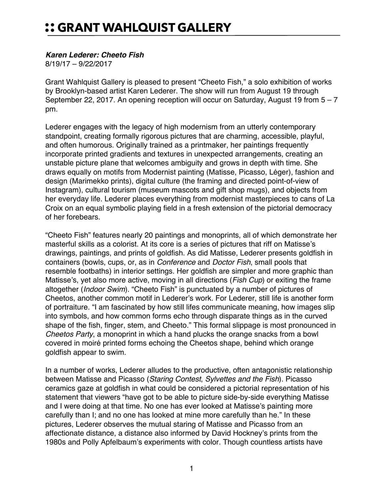## *Karen Lederer: Cheeto Fish*

8/19/17 – 9/22/2017

Grant Wahlquist Gallery is pleased to present "Cheeto Fish," a solo exhibition of works by Brooklyn-based artist Karen Lederer. The show will run from August 19 through September 22, 2017. An opening reception will occur on Saturday, August 19 from  $5 - 7$ pm.

Lederer engages with the legacy of high modernism from an utterly contemporary standpoint, creating formally rigorous pictures that are charming, accessible, playful, and often humorous. Originally trained as a printmaker, her paintings frequently incorporate printed gradients and textures in unexpected arrangements, creating an unstable picture plane that welcomes ambiguity and grows in depth with time. She draws equally on motifs from Modernist painting (Matisse, Picasso, Léger), fashion and design (Marimekko prints), digital culture (the framing and directed point-of-view of Instagram), cultural tourism (museum mascots and gift shop mugs), and objects from her everyday life. Lederer places everything from modernist masterpieces to cans of La Croix on an equal symbolic playing field in a fresh extension of the pictorial democracy of her forebears.

"Cheeto Fish" features nearly 20 paintings and monoprints, all of which demonstrate her masterful skills as a colorist. At its core is a series of pictures that riff on Matisse's drawings, paintings, and prints of goldfish. As did Matisse, Lederer presents goldfish in containers (bowls, cups, or, as in *Conference* and *Doctor Fish*, small pools that resemble footbaths) in interior settings. Her goldfish are simpler and more graphic than Matisse's, yet also more active, moving in all directions (*Fish Cup*) or exiting the frame altogether (*Indoor Swim*). "Cheeto Fish" is punctuated by a number of pictures of Cheetos, another common motif in Lederer's work. For Lederer, still life is another form of portraiture. "I am fascinated by how still lifes communicate meaning, how images slip into symbols, and how common forms echo through disparate things as in the curved shape of the fish, finger, stem, and Cheeto." This formal slippage is most pronounced in *Cheetos Party*, a monoprint in which a hand plucks the orange snacks from a bowl covered in moiré printed forms echoing the Cheetos shape, behind which orange goldfish appear to swim.

In a number of works, Lederer alludes to the productive, often antagonistic relationship between Matisse and Picasso (*Staring Contest*, *Sylvettes and the Fish*). Picasso ceramics gaze at goldfish in what could be considered a pictorial representation of his statement that viewers "have got to be able to picture side-by-side everything Matisse and I were doing at that time. No one has ever looked at Matisse's painting more carefully than I; and no one has looked at mine more carefully than he." In these pictures, Lederer observes the mutual staring of Matisse and Picasso from an affectionate distance, a distance also informed by David Hockney's prints from the 1980s and Polly Apfelbaum's experiments with color. Though countless artists have